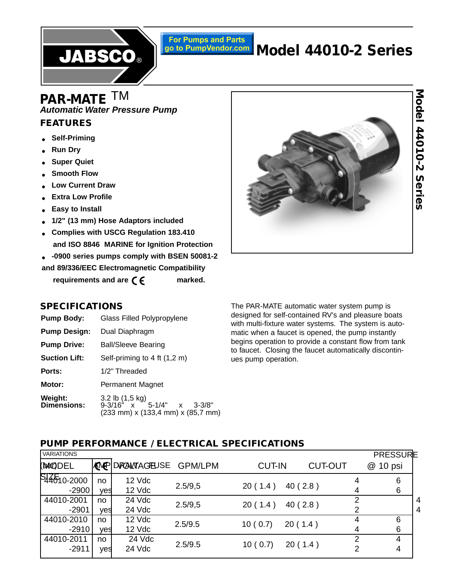

# **For Pumps and Parts** go to PumpVendor.com **Model 44010-2 Series**

# **Automatic Water Pressure Pump PAR-MATE** TM

# **FEATURES**

- **Self-Priming**
- **Run Dry**
- **Super Quiet**
- **Smooth Flow**
- **Low Current Draw**
- **Extra Low Profile**
- **Easy to Install**
- **1/2" (13 mm) Hose Adaptors included**
- **Complies with USCG Regulation 183.410 and ISO 8846 MARINE for Ignition Protection**
- **-0900 series pumps comply with BSEN 50081-2**

**and 89/336/EEC Electromagnetic Compatibility** 

requirements and are  $\epsilon$   $\epsilon$  marked.



# Model 44010-2 Series **Model 44010-2 Series**

# **SPECIFICATIONS**

| <b>Pump Body:</b>             | <b>Glass Filled Polypropylene</b>                                                 |
|-------------------------------|-----------------------------------------------------------------------------------|
| <b>Pump Design:</b>           | Dual Diaphragm                                                                    |
| <b>Pump Drive:</b>            | <b>Ball/Sleeve Bearing</b>                                                        |
| <b>Suction Lift:</b>          | Self-priming to 4 ft (1,2 m)                                                      |
| Ports:                        | 1/2" Threaded                                                                     |
| Motor:                        | Permanent Magnet                                                                  |
| Weight:<br><b>Dimensions:</b> | 3.2 lb (1,5 kg)<br>9-3/16" x 5-1/4" x 3-3/8"<br>(233 mm) x (133,4 mm) x (85,7 mm) |

The PAR-MATE automatic water system pump is designed for self-contained RV's and pleasure boats with multi-fixture water systems. The system is automatic when a faucet is opened, the pump instantly begins operation to provide a constant flow from tank to faucet. Closing the faucet automatically discontinues pump operation.

# **PUMP PERFORMANCE / ELECTRICAL SPECIFICATIONS**

| VARIATIONS             |           |                     |                |               |                |        | <b>PRESSURE</b> |        |
|------------------------|-----------|---------------------|----------------|---------------|----------------|--------|-----------------|--------|
| <b>(MCODEL</b>         |           | <b>MPDRAMAGEUSE</b> | <b>GPM/LPM</b> | <b>CUT-IN</b> | <b>CUT-OUT</b> |        | @ 10 psi        |        |
| 544610-2000<br>$-2900$ | no<br>yes | 12 Vdc<br>12 Vdc    | 2.5/9,5        | 20(1.4)       | 40(2.8)        | 4<br>4 | 6<br>6          |        |
| 44010-2001<br>$-2901$  | no<br>yes | 24 Vdc<br>24 Vdc    | 2.5/9,5        | 20(1.4)       | 40(2.8)        | 2<br>2 |                 | 4<br>4 |
| 44010-2010<br>$-2910$  | no<br>yes | 12 Vdc<br>12 Vdc    | 2.5/9.5        | 10(0.7)       | 20(1.4)        | 4<br>4 | 6<br>6          |        |
| 44010-2011<br>$-2911$  | no<br>yes | 24 Vdc<br>24 Vdc    | 2.5/9.5        | 10(0.7)       | 20(1.4)        | 2<br>2 | 4<br>4          |        |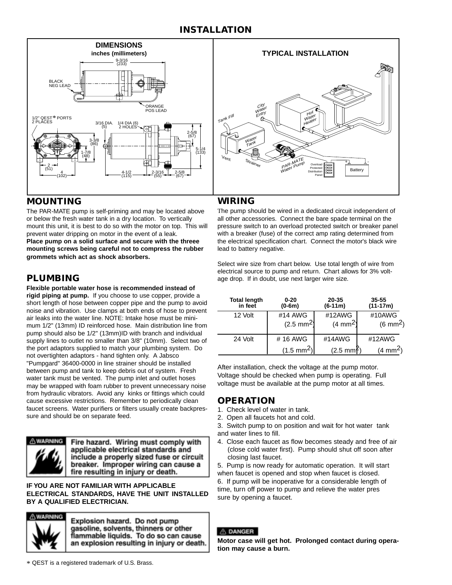# **INSTALLATION**





# **MOUNTING**

The PAR-MATE pump is self-priming and may be located above or below the fresh water tank in a dry location. To vertically mount this unit, it is best to do so with the motor on top. This will prevent water dripping on motor in the event of a leak. **Place pump on a solid surface and secure with the threee mounting screws being careful not to compress the rubber grommets which act as shock absorbers.**

**Flexible portable water hose is recommended instead of rigid piping at pump.** If you choose to use copper, provide a short length of hose between copper pipe and the pump to avoid noise and vibration. Use clamps at both ends of hose to prevent air leaks into the water line. NOTE: Intake hose must be minimum 1/2" (13mm) ID reinforced hose. Main distribution line from pump should also be 1/2" (13mm)ID with branch and individual supply lines to outlet no smaller than 3/8" (10mm). Select two of the port adaptors supplied to match your plumbing system. Do not overtighten adaptors - hand tighten only. A Jabsco "Pumpgard" 36400-0000 in line strainer should be installed between pump and tank to keep debris out of system. Fresh water tank must be vented. The pump inlet and outlet hoses may be wrapped with foam rubber to prevent unnecessary noise from hydraulic vibrators. Avoid any kinks or fittings which could cause excessive restrictions. Remember to periodically clean faucet screens. Water purifiers or filters usually create backpressure and should be on separate feed.



Fire hazard. Wiring must comply with applicable electrical standards and include a properly sized fuse or circuit breaker. Improper wiring can cause a fire resulting in injury or death.

**IF YOU ARE NOT FAMILIAR WITH APPLICABLE ELECTRICAL STANDARDS, HAVE THE UNIT INSTALLED BY A QUALIFIED ELECTRICIAN.**



Explosion hazard. Do not pump gasoline, solvents, thinners or other flammable liquids. To do so can cause an explosion resulting in injury or death.

# **WIRING**

The pump should be wired in a dedicated circuit independent of all other accessories. Connect the bare spade terminal on the pressure switch to an overload protected switch or breaker panel with a breaker (fuse) of the correct amp rating determined from the electrical specification chart. Connect the motor's black wire lead to battery negative.

Select wire size from chart below. Use total length of wire from electrical source to pump and return. Chart allows for 3% volt-**PLUMBING** age drop. If in doubt, use next larger wire size.

| <b>Total length</b><br>in feet | $0 - 20$<br>$(0-6m)$ | 20-35<br>$(6-11m)$   | 35-55<br>$(11-17m)$  |
|--------------------------------|----------------------|----------------------|----------------------|
| 12 Volt                        | #14 AWG              | #12AWG               | #10AWG               |
|                                | $(2.5 \text{ mm}^2)$ | $(4 \text{ mm}^2)$   | $(6 \text{ mm}^2)$   |
| 24 Volt                        | #16 AWG              | #14AWG               | #12AWG               |
|                                | $(1.5 \text{ mm}^2)$ | $(2.5 \text{ mm}^2)$ | (4 mm <sup>2</sup> ) |

After installation, check the voltage at the pump motor. Voltage should be checked when pump is operating. Full voltage must be available at the pump motor at all times.

# **OPERATION**

- 1. Check level of water in tank.
- 2. Open all faucets hot and cold.
- 3. Switch pump to on position and wait for hot water tank
- and water lines to fill.
- 4. Close each faucet as flow becomes steady and free of air (close cold water first). Pump should shut off soon after closing last faucet.

5. Pump is now ready for automatic operation. It will start when faucet is opened and stop when faucet is closed.

6. If pump will be inoperative for a considerable length of

time, turn off power to pump and relieve the water pres sure by opening a faucet.

### A DANGER

**Motor case will get hot. Prolonged contact during operation may cause a burn.**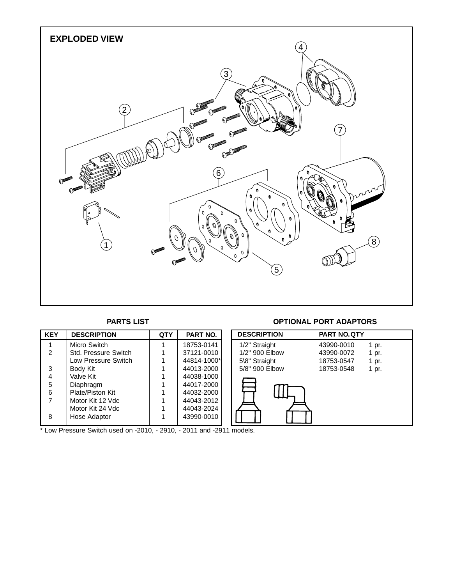

### 1 | Micro Switch | 1 | 18753-0141 2 | Std. Pressure Switch | 1 | 37121-0010 Low Pressure Switch | 1 | 44814-1000\* 3 Body Kit 1 44013-2000<br>4 Valve Kit 1 44038-1000 4 | Valve Kit | 1 | 44038-1000 5 Diaphragm 1 44017-2000 6 | Plate/Piston Kit | 1 | 44032-2000<br>7 | Motor Kit 12 Vdc | 1 | 44043-2012 Motor Kit 12 Vdc 1 Motor Kit 24 Vdc<br>
Hose Adaptor 1 44043-2024 8 | Hose Adaptor | 1 **KEY DESCRIPTION QTY PART NO. DESCRIPTION PART NO.QTY** 1/2" Straight | 43990-0010 | 1 pr. 1/2" 900 Elbow | 43990-0072 | 1 pr. 5\8" Straight  $\begin{array}{|c|c|c|c|c|c|c|c|} \hline \end{array}$  18753-0547 | 1 pr. 5/8" 900 Elbow | 18753-0548 | 1 pr.

 $*$  Low Pressure Switch used on -2010, - 2910, - 2011 and -2911 models.

## **PARTS LIST OPTIONAL PORT ADAPTORS**